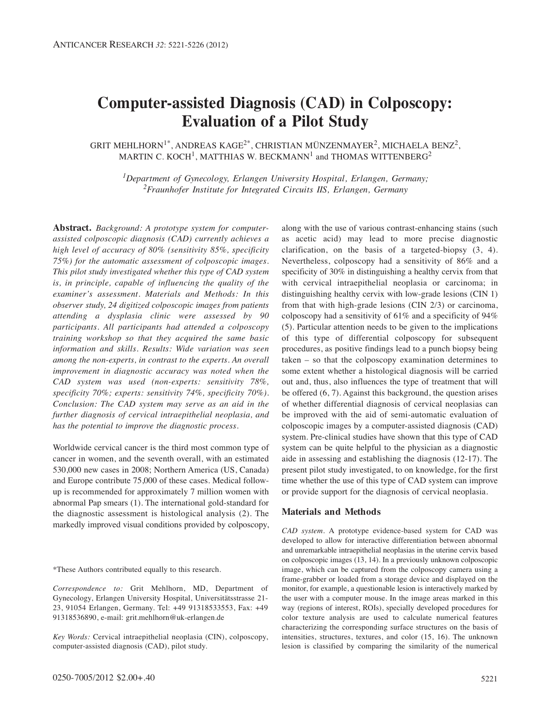# **Computer-assisted Diagnosis (CAD) in Colposcopy: Evaluation of a Pilot Study**

GRIT MEHLHORN<sup>1\*</sup>, ANDREAS KAGE<sup>2\*</sup>, CHRISTIAN MÜNZENMAYER<sup>2</sup>, MICHAELA BENZ<sup>2</sup>. MARTIN C. KOCH<sup>1</sup>, MATTHIAS W. BECKMANN<sup>1</sup> and THOMAS WITTENBERG<sup>2</sup>

*1Department of Gynecology, Erlangen University Hospital, Erlangen, Germany; 2Fraunhofer Institute for Integrated Circuits IIS, Erlangen, Germany*

**Abstract.** *Background: A prototype system for computerassisted colposcopic diagnosis (CAD) currently achieves a high level of accuracy of 80% (sensitivity 85%, specificity 75%) for the automatic assessment of colposcopic images. This pilot study investigated whether this type of CAD system is, in principle, capable of influencing the quality of the examiner's assessment. Materials and Methods: In this observer study, 24 digitized colposcopic images from patients attending a dysplasia clinic were assessed by 90 participants. All participants had attended a colposcopy training workshop so that they acquired the same basic information and skills. Results: Wide variation was seen among the non-experts, in contrast to the experts. An overall improvement in diagnostic accuracy was noted when the CAD system was used (non-experts: sensitivity 78%, specificity 70%; experts: sensitivity 74%, specificity 70%). Conclusion: The CAD system may serve as an aid in the further diagnosis of cervical intraepithelial neoplasia, and has the potential to improve the diagnostic process.*

Worldwide cervical cancer is the third most common type of cancer in women, and the seventh overall, with an estimated 530,000 new cases in 2008; Northern America (US, Canada) and Europe contribute 75,000 of these cases. Medical followup is recommended for approximately 7 million women with abnormal Pap smears (1). The international gold-standard for the diagnostic assessment is histological analysis (2). The markedly improved visual conditions provided by colposcopy,

\*These Authors contributed equally to this research.

*Correspondence to:* Grit Mehlhorn, MD, Department of Gynecology, Erlangen University Hospital, Universitätsstrasse 21- 23, 91054 Erlangen, Germany. Tel: +49 91318533553, Fax: +49 91318536890, e-mail: grit.mehlhorn@uk-erlangen.de

*Key Words:* Cervical intraepithelial neoplasia (CIN), colposcopy, computer-assisted diagnosis (CAD), pilot study.

clarification, on the basis of a targeted-biopsy (3, 4). Nevertheless, colposcopy had a sensitivity of 86% and a specificity of 30% in distinguishing a healthy cervix from that with cervical intraepithelial neoplasia or carcinoma; in distinguishing healthy cervix with low-grade lesions (CIN 1) from that with high-grade lesions (CIN 2/3) or carcinoma, colposcopy had a sensitivity of 61% and a specificity of 94% (5). Particular attention needs to be given to the implications of this type of differential colposcopy for subsequent procedures, as positive findings lead to a punch biopsy being taken – so that the colposcopy examination determines to some extent whether a histological diagnosis will be carried out and, thus, also influences the type of treatment that will be offered (6, 7). Against this background, the question arises of whether differential diagnosis of cervical neoplasias can be improved with the aid of semi-automatic evaluation of colposcopic images by a computer-assisted diagnosis (CAD) system. Pre-clinical studies have shown that this type of CAD system can be quite helpful to the physician as a diagnostic aide in assessing and establishing the diagnosis (12-17). The present pilot study investigated, to on knowledge, for the first time whether the use of this type of CAD system can improve or provide support for the diagnosis of cervical neoplasia.

along with the use of various contrast-enhancing stains (such as acetic acid) may lead to more precise diagnostic

# **Materials and Methods**

*CAD system.* A prototype evidence-based system for CAD was developed to allow for interactive differentiation between abnormal and unremarkable intraepithelial neoplasias in the uterine cervix based on colposcopic images (13, 14). In a previously unknown colposcopic image, which can be captured from the colposcopy camera using a frame-grabber or loaded from a storage device and displayed on the monitor, for example, a questionable lesion is interactively marked by the user with a computer mouse. In the image areas marked in this way (regions of interest, ROIs), specially developed procedures for color texture analysis are used to calculate numerical features characterizing the corresponding surface structures on the basis of intensities, structures, textures, and color (15, 16). The unknown lesion is classified by comparing the similarity of the numerical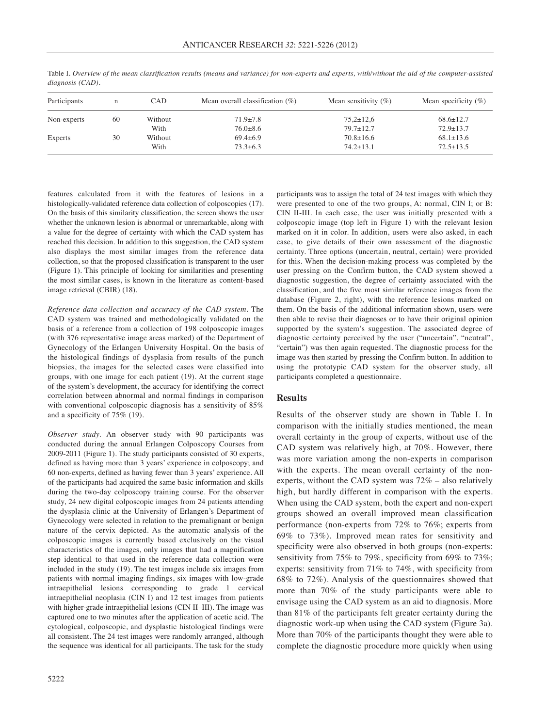| Participants | n  | CAD     | Mean overall classification $(\%)$ | Mean sensitivity $(\% )$ | Mean specificity $(\% )$ |
|--------------|----|---------|------------------------------------|--------------------------|--------------------------|
| Non-experts  | 60 | Without | $71.9 \pm 7.8$                     | $75,2 \pm 12,6$          | $68.6 \pm 12.7$          |
|              |    | With    | $76.0 \pm 8.6$                     | $79.7 \pm 12.7$          | $72.9 \pm 13.7$          |
| Experts      | 30 | Without | $69.4\pm 6.9$                      | $70.8 \pm 16.6$          | $68.1 \pm 13.6$          |
|              |    | With    | $73.3 \pm 6.3$                     | $74.2 \pm 13.1$          | $72.5 \pm 13.5$          |

Table I. *Overview of the mean classification results (means and variance) for non-experts and experts, with/without the aid of the computer-assisted diagnosis (CAD).*

features calculated from it with the features of lesions in a histologically-validated reference data collection of colposcopies (17). On the basis of this similarity classification, the screen shows the user whether the unknown lesion is abnormal or unremarkable, along with a value for the degree of certainty with which the CAD system has reached this decision. In addition to this suggestion, the CAD system also displays the most similar images from the reference data collection, so that the proposed classification is transparent to the user (Figure 1). This principle of looking for similarities and presenting the most similar cases, is known in the literature as content-based image retrieval (CBIR) (18).

*Reference data collection and accuracy of the CAD system.* The CAD system was trained and methodologically validated on the basis of a reference from a collection of 198 colposcopic images (with 376 representative image areas marked) of the Department of Gynecology of the Erlangen University Hospital. On the basis of the histological findings of dysplasia from results of the punch biopsies, the images for the selected cases were classified into groups, with one image for each patient (19). At the current stage of the system's development, the accuracy for identifying the correct correlation between abnormal and normal findings in comparison with conventional colposcopic diagnosis has a sensitivity of 85% and a specificity of 75% (19).

*Observer study.* An observer study with 90 participants was conducted during the annual Erlangen Colposcopy Courses from 2009-2011 (Figure 1). The study participants consisted of 30 experts, defined as having more than 3 years' experience in colposcopy; and 60 non-experts, defined as having fewer than 3 years' experience. All of the participants had acquired the same basic information and skills during the two-day colposcopy training course. For the observer study, 24 new digital colposcopic images from 24 patients attending the dysplasia clinic at the University of Erlangen's Department of Gynecology were selected in relation to the premalignant or benign nature of the cervix depicted. As the automatic analysis of the colposcopic images is currently based exclusively on the visual characteristics of the images, only images that had a magnification step identical to that used in the reference data collection were included in the study (19). The test images include six images from patients with normal imaging findings, six images with low-grade intraepithelial lesions corresponding to grade 1 cervical intraepithelial neoplasia (CIN I) and 12 test images from patients with higher-grade intraepithelial lesions (CIN II–III). The image was captured one to two minutes after the application of acetic acid. The cytological, colposcopic, and dysplastic histological findings were all consistent. The 24 test images were randomly arranged, although the sequence was identical for all participants. The task for the study

participants was to assign the total of 24 test images with which they were presented to one of the two groups, A: normal, CIN I; or B: CIN II-III. In each case, the user was initially presented with a colposcopic image (top left in Figure 1) with the relevant lesion marked on it in color. In addition, users were also asked, in each case, to give details of their own assessment of the diagnostic certainty. Three options (uncertain, neutral, certain) were provided for this. When the decision-making process was completed by the user pressing on the Confirm button, the CAD system showed a diagnostic suggestion, the degree of certainty associated with the classification, and the five most similar reference images from the database (Figure 2, right), with the reference lesions marked on them. On the basis of the additional information shown, users were then able to revise their diagnoses or to have their original opinion supported by the system's suggestion. The associated degree of diagnostic certainty perceived by the user ("uncertain", "neutral", "certain") was then again requested. The diagnostic process for the image was then started by pressing the Confirm button. In addition to using the prototypic CAD system for the observer study, all participants completed a questionnaire.

### **Results**

Results of the observer study are shown in Table I. In comparison with the initially studies mentioned, the mean overall certainty in the group of experts, without use of the CAD system was relatively high, at 70%. However, there was more variation among the non-experts in comparison with the experts. The mean overall certainty of the nonexperts, without the CAD system was 72% – also relatively high, but hardly different in comparison with the experts. When using the CAD system, both the expert and non-expert groups showed an overall improved mean classification performance (non-experts from 72% to 76%; experts from 69% to 73%). Improved mean rates for sensitivity and specificity were also observed in both groups (non-experts: sensitivity from 75% to 79%, specificity from 69% to 73%; experts: sensitivity from 71% to 74%, with specificity from 68% to 72%). Analysis of the questionnaires showed that more than 70% of the study participants were able to envisage using the CAD system as an aid to diagnosis. More than 81% of the participants felt greater certainty during the diagnostic work-up when using the CAD system (Figure 3a). More than 70% of the participants thought they were able to complete the diagnostic procedure more quickly when using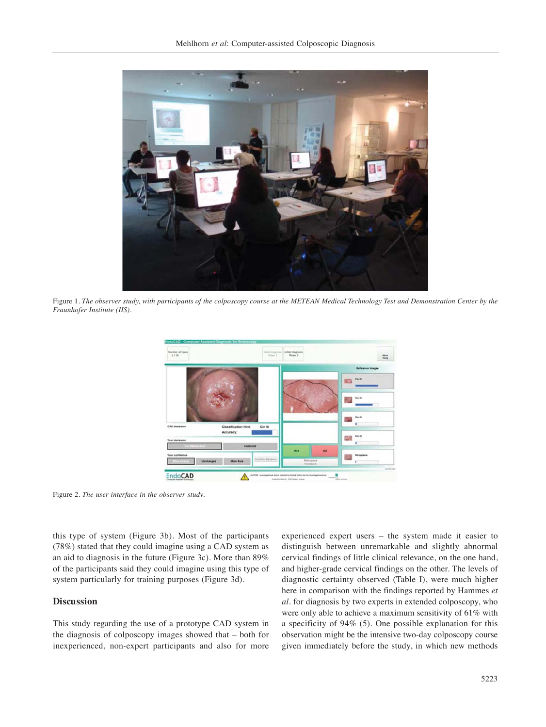

Figure 1. *The observer study, with participants of the colposcopy course at the METEAN Medical Technology Test and Demonstration Center by the Fraunhofer Institute (IIS).*



Figure 2*. The user interface in the observer study.*

this type of system (Figure 3b). Most of the participants (78%) stated that they could imagine using a CAD system as an aid to diagnosis in the future (Figure 3c). More than 89% of the participants said they could imagine using this type of system particularly for training purposes (Figure 3d).

## **Discussion**

This study regarding the use of a prototype CAD system in the diagnosis of colposcopy images showed that – both for inexperienced, non-expert participants and also for more experienced expert users – the system made it easier to distinguish between unremarkable and slightly abnormal cervical findings of little clinical relevance, on the one hand, and higher-grade cervical findings on the other. The levels of diagnostic certainty observed (Table I), were much higher here in comparison with the findings reported by Hammes *et al.* for diagnosis by two experts in extended colposcopy, who were only able to achieve a maximum sensitivity of 61% with a specificity of 94% (5). One possible explanation for this observation might be the intensive two-day colposcopy course given immediately before the study, in which new methods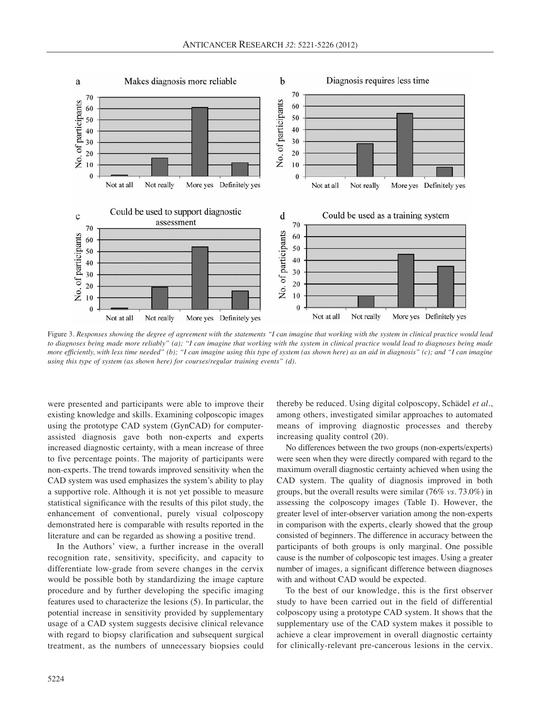

Figure 3. *Responses showing the degree of agreement with the statements "I can imagine that working with the system in clinical practice would lead to diagnoses being made more reliably" (a); "I can imagine that working with the system in clinical practice would lead to diagnoses being made more efficiently, with less time needed" (b); "I can imagine using this type of system (as shown here) as an aid in diagnosis" (c); and "I can imagine using this type of system (as shown here) for courses/regular training events" (d).*

were presented and participants were able to improve their existing knowledge and skills. Examining colposcopic images using the prototype CAD system (GynCAD) for computerassisted diagnosis gave both non-experts and experts increased diagnostic certainty, with a mean increase of three to five percentage points. The majority of participants were non-experts. The trend towards improved sensitivity when the CAD system was used emphasizes the system's ability to play a supportive role. Although it is not yet possible to measure statistical significance with the results of this pilot study, the enhancement of conventional, purely visual colposcopy demonstrated here is comparable with results reported in the literature and can be regarded as showing a positive trend.

In the Authors' view, a further increase in the overall recognition rate, sensitivity, specificity, and capacity to differentiate low-grade from severe changes in the cervix would be possible both by standardizing the image capture procedure and by further developing the specific imaging features used to characterize the lesions (5). In particular, the potential increase in sensitivity provided by supplementary usage of a CAD system suggests decisive clinical relevance with regard to biopsy clarification and subsequent surgical treatment, as the numbers of unnecessary biopsies could thereby be reduced. Using digital colposcopy, Schädel *et al.*, among others, investigated similar approaches to automated means of improving diagnostic processes and thereby increasing quality control (20).

No differences between the two groups (non-experts/experts) were seen when they were directly compared with regard to the maximum overall diagnostic certainty achieved when using the CAD system. The quality of diagnosis improved in both groups, but the overall results were similar (76% *vs.* 73.0%) in assessing the colposcopy images (Table I). However, the greater level of inter-observer variation among the non-experts in comparison with the experts, clearly showed that the group consisted of beginners. The difference in accuracy between the participants of both groups is only marginal. One possible cause is the number of colposcopic test images. Using a greater number of images, a significant difference between diagnoses with and without CAD would be expected.

To the best of our knowledge, this is the first observer study to have been carried out in the field of differential colposcopy using a prototype CAD system. It shows that the supplementary use of the CAD system makes it possible to achieve a clear improvement in overall diagnostic certainty for clinically-relevant pre-cancerous lesions in the cervix.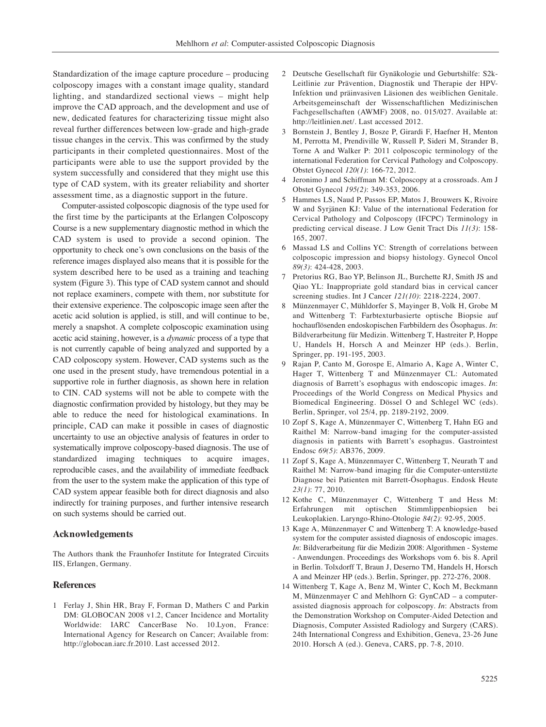Standardization of the image capture procedure – producing colposcopy images with a constant image quality, standard lighting, and standardized sectional views – might help improve the CAD approach, and the development and use of new, dedicated features for characterizing tissue might also reveal further differences between low-grade and high-grade tissue changes in the cervix. This was confirmed by the study participants in their completed questionnaires. Most of the participants were able to use the support provided by the system successfully and considered that they might use this type of CAD system, with its greater reliability and shorter assessment time, as a diagnostic support in the future.

Computer-assisted colposcopic diagnosis of the type used for the first time by the participants at the Erlangen Colposcopy Course is a new supplementary diagnostic method in which the CAD system is used to provide a second opinion. The opportunity to check one's own conclusions on the basis of the reference images displayed also means that it is possible for the system described here to be used as a training and teaching system (Figure 3). This type of CAD system cannot and should not replace examiners, compete with them, nor substitute for their extensive experience. The colposcopic image seen after the acetic acid solution is applied, is still, and will continue to be, merely a snapshot. A complete colposcopic examination using acetic acid staining, however, is a *dynamic* process of a type that is not currently capable of being analyzed and supported by a CAD colposcopy system. However, CAD systems such as the one used in the present study, have tremendous potential in a supportive role in further diagnosis, as shown here in relation to CIN. CAD systems will not be able to compete with the diagnostic confirmation provided by histology, but they may be able to reduce the need for histological examinations. In principle, CAD can make it possible in cases of diagnostic uncertainty to use an objective analysis of features in order to systematically improve colposcopy-based diagnosis. The use of standardized imaging techniques to acquire images, reproducible cases, and the availability of immediate feedback from the user to the system make the application of this type of CAD system appear feasible both for direct diagnosis and also indirectly for training purposes, and further intensive research on such systems should be carried out.

#### **Acknowledgements**

The Authors thank the Fraunhofer Institute for Integrated Circuits IIS, Erlangen, Germany.

#### **References**

1 Ferlay J, Shin HR, Bray F, Forman D, Mathers C and Parkin DM: GLOBOCAN 2008 v1.2, Cancer Incidence and Mortality Worldwide: IARC CancerBase No. 10.Lyon, France: International Agency for Research on Cancer; Available from: http://globocan.iarc.fr.2010. Last accessed 2012.

- 2 Deutsche Gesellschaft für Gynäkologie und Geburtshilfe: S2k-Leitlinie zur Prävention, Diagnostik und Therapie der HPV-Infektion und präinvasiven Läsionen des weiblichen Genitale. Arbeitsgemeinschaft der Wissenschaftlichen Medizinischen Fachgesellschaften (AWMF) 2008, no. 015/027. Available at: http://leitlinien.net/. Last accessed 2012.
- 3 Bornstein J, Bentley J, Bosze P, Girardi F, Haefner H, Menton M, Perrotta M, Prendiville W, Russell P, Sideri M, Strander B, Torne A and Walker P: 2011 colposcopic terminology of the international Federation for Cervical Pathology and Colposcopy. Obstet Gynecol *120(1)*: 166-72, 2012.
- 4 Jeronimo J and Schiffman M: Colposcopy at a crossroads. Am J Obstet Gynecol *195(2)*: 349-353, 2006.
- 5 Hammes LS, Naud P, Passos EP, Matos J, Brouwers K, Rivoire W and Syrjänen KJ: Value of the international Federation for Cervical Pathology and Colposcopy (IFCPC) Terminology in predicting cervical disease. J Low Genit Tract Dis *11(3)*: 158- 165, 2007.
- 6 Massad LS and Collins YC: Strength of correlations between colposcopic impression and biopsy histology. Gynecol Oncol *89(3)*: 424-428, 2003.
- 7 Pretorius RG, Bao YP, Belinson JL, Burchette RJ, Smith JS and Qiao YL: Inappropriate gold standard bias in cervical cancer screening studies. Int J Cancer *121(10)*: 2218-2224, 2007.
- 8 Münzenmayer C, Mühldorfer S, Mayinger B, Volk H, Grobe M and Wittenberg T: Farbtexturbasierte optische Biopsie auf hochauflösenden endoskopischen Farbbildern des Ösophagus. *In*: Bildverarbeitung für Medizin. Wittenberg T, Hastreiter P, Hoppe U, Handels H, Horsch A and Meinzer HP (eds.). Berlin, Springer, pp. 191-195, 2003.
- 9 Rajan P, Canto M, Gorospe E, Almario A, Kage A, Winter C, Hager T, Wittenberg T and Münzenmayer CL: Automated diagnosis of Barrett's esophagus with endoscopic images. *In*: Proceedings of the World Congress on Medical Physics and Biomedical Engineering. Dössel O and Schlegel WC (eds). Berlin, Springer, vol 25/4, pp. 2189-2192, 2009.
- 10 Zopf S, Kage A, Münzenmayer C, Wittenberg T, Hahn EG and Raithel M: Narrow-band imaging for the computer-assisted diagnosis in patients with Barrett's esophagus. Gastrointest Endosc *69(5)*: AB376, 2009.
- 11 Zopf S, Kage A, Münzenmayer C, Wittenberg T, Neurath T and Raithel M: Narrow-band imaging für die Computer-unterstüzte Diagnose bei Patienten mit Barrett-Ösophagus. Endosk Heute *23(1)*: 77, 2010.
- 12 Kothe C, Münzenmayer C, Wittenberg T and Hess M: Erfahrungen mit optischen Stimmlippenbiopsien bei Leukoplakien. Laryngo-Rhino-Otologie *84(2)*: 92-95, 2005.
- 13 Kage A, Münzenmayer C and Wittenberg T: A knowledge-based system for the computer assisted diagnosis of endoscopic images. *In*: Bildverarbeitung für die Medizin 2008: Algorithmen - Systeme - Anwendungen. Proceedings des Workshops vom 6. bis 8. April in Berlin. Tolxdorff T, Braun J, Deserno TM, Handels H, Horsch A and Meinzer HP (eds.). Berlin, Springer, pp. 272-276, 2008.
- 14 Wittenberg T, Kage A, Benz M, Winter C, Koch M, Beckmann M, Münzenmayer C and Mehlhorn G: GynCAD – a computerassisted diagnosis approach for colposcopy. *In*: Abstracts from the Demonstration Workshop on Computer-Aided Detection and Diagnosis, Computer Assisted Radiology and Surgery (CARS). 24th International Congress and Exhibition, Geneva, 23-26 June 2010. Horsch A (ed.). Geneva, CARS, pp. 7-8, 2010.